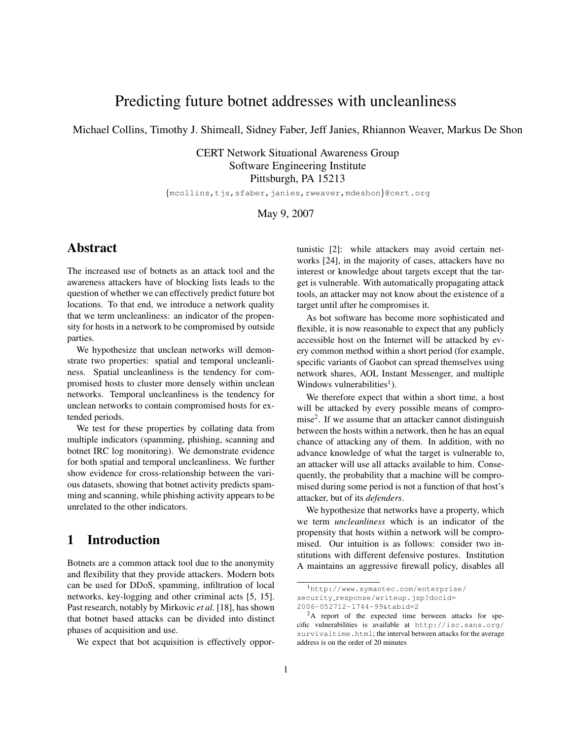# Predicting future botnet addresses with uncleanliness

Michael Collins, Timothy J. Shimeall, Sidney Faber, Jeff Janies, Rhiannon Weaver, Markus De Shon

CERT Network Situational Awareness Group Software Engineering Institute Pittsburgh, PA 15213

{mcollins,tjs,sfaber,janies,rweaver,mdeshon}@cert.org

May 9, 2007

# Abstract

The increased use of botnets as an attack tool and the awareness attackers have of blocking lists leads to the question of whether we can effectively predict future bot locations. To that end, we introduce a network quality that we term uncleanliness: an indicator of the propensity for hosts in a network to be compromised by outside parties.

We hypothesize that unclean networks will demonstrate two properties: spatial and temporal uncleanliness. Spatial uncleanliness is the tendency for compromised hosts to cluster more densely within unclean networks. Temporal uncleanliness is the tendency for unclean networks to contain compromised hosts for extended periods.

We test for these properties by collating data from multiple indicators (spamming, phishing, scanning and botnet IRC log monitoring). We demonstrate evidence for both spatial and temporal uncleanliness. We further show evidence for cross-relationship between the various datasets, showing that botnet activity predicts spamming and scanning, while phishing activity appears to be unrelated to the other indicators.

# 1 Introduction

Botnets are a common attack tool due to the anonymity and flexibility that they provide attackers. Modern bots can be used for DDoS, spamming, infiltration of local networks, key-logging and other criminal acts [5, 15]. Past research, notably by Mirkovic *et al.* [18], has shown that botnet based attacks can be divided into distinct phases of acquisition and use.

We expect that bot acquisition is effectively oppor-

tunistic [2]: while attackers may avoid certain networks [24], in the majority of cases, attackers have no interest or knowledge about targets except that the target is vulnerable. With automatically propagating attack tools, an attacker may not know about the existence of a target until after he compromises it.

As bot software has become more sophisticated and flexible, it is now reasonable to expect that any publicly accessible host on the Internet will be attacked by every common method within a short period (for example, specific variants of Gaobot can spread themselves using network shares, AOL Instant Messenger, and multiple Windows vulnerabilities<sup>1</sup>).

We therefore expect that within a short time, a host will be attacked by every possible means of compromise<sup>2</sup>. If we assume that an attacker cannot distinguish between the hosts within a network, then he has an equal chance of attacking any of them. In addition, with no advance knowledge of what the target is vulnerable to, an attacker will use all attacks available to him. Consequently, the probability that a machine will be compromised during some period is not a function of that host's attacker, but of its *defenders*.

We hypothesize that networks have a property, which we term *uncleanliness* which is an indicator of the propensity that hosts within a network will be compromised. Our intuition is as follows: consider two institutions with different defensive postures. Institution A maintains an aggressive firewall policy, disables all

<sup>1</sup>http://www.symantec.com/enterprise/ security\_response/writeup.jsp?docid=

<sup>2006-052712-1744-99&</sup>amp;tabid=2

<sup>&</sup>lt;sup>2</sup>A report of the expected time between attacks for specific vulnerabilities is available at http://isc.sans.org/ survivaltime.html; the interval between attacks for the average address is on the order of 20 minutes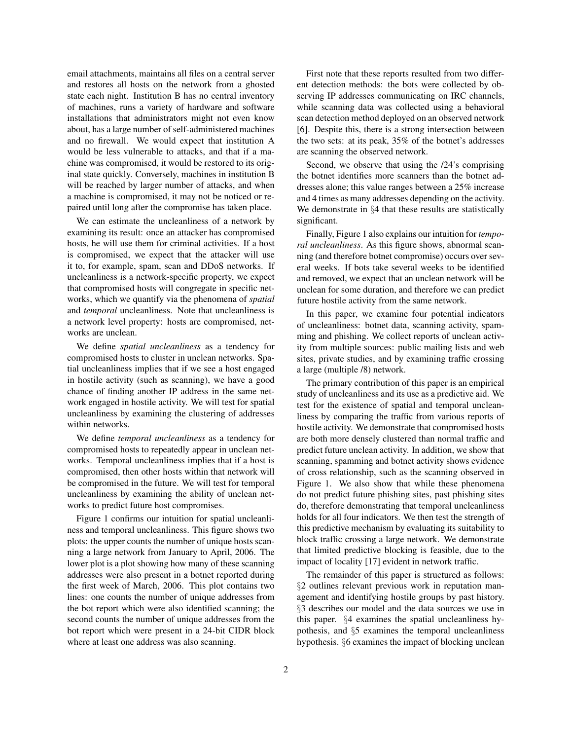email attachments, maintains all files on a central server and restores all hosts on the network from a ghosted state each night. Institution B has no central inventory of machines, runs a variety of hardware and software installations that administrators might not even know about, has a large number of self-administered machines and no firewall. We would expect that institution A would be less vulnerable to attacks, and that if a machine was compromised, it would be restored to its original state quickly. Conversely, machines in institution B will be reached by larger number of attacks, and when a machine is compromised, it may not be noticed or repaired until long after the compromise has taken place.

We can estimate the uncleanliness of a network by examining its result: once an attacker has compromised hosts, he will use them for criminal activities. If a host is compromised, we expect that the attacker will use it to, for example, spam, scan and DDoS networks. If uncleanliness is a network-specific property, we expect that compromised hosts will congregate in specific networks, which we quantify via the phenomena of *spatial* and *temporal* uncleanliness. Note that uncleanliness is a network level property: hosts are compromised, networks are unclean.

We define *spatial uncleanliness* as a tendency for compromised hosts to cluster in unclean networks. Spatial uncleanliness implies that if we see a host engaged in hostile activity (such as scanning), we have a good chance of finding another IP address in the same network engaged in hostile activity. We will test for spatial uncleanliness by examining the clustering of addresses within networks.

We define *temporal uncleanliness* as a tendency for compromised hosts to repeatedly appear in unclean networks. Temporal uncleanliness implies that if a host is compromised, then other hosts within that network will be compromised in the future. We will test for temporal uncleanliness by examining the ability of unclean networks to predict future host compromises.

Figure 1 confirms our intuition for spatial uncleanliness and temporal uncleanliness. This figure shows two plots: the upper counts the number of unique hosts scanning a large network from January to April, 2006. The lower plot is a plot showing how many of these scanning addresses were also present in a botnet reported during the first week of March, 2006. This plot contains two lines: one counts the number of unique addresses from the bot report which were also identified scanning; the second counts the number of unique addresses from the bot report which were present in a 24-bit CIDR block where at least one address was also scanning.

First note that these reports resulted from two different detection methods: the bots were collected by observing IP addresses communicating on IRC channels, while scanning data was collected using a behavioral scan detection method deployed on an observed network [6]. Despite this, there is a strong intersection between the two sets: at its peak, 35% of the botnet's addresses are scanning the observed network.

Second, we observe that using the /24's comprising the botnet identifies more scanners than the botnet addresses alone; this value ranges between a 25% increase and 4 times as many addresses depending on the activity. We demonstrate in §4 that these results are statistically significant.

Finally, Figure 1 also explains our intuition for *temporal uncleanliness*. As this figure shows, abnormal scanning (and therefore botnet compromise) occurs over several weeks. If bots take several weeks to be identified and removed, we expect that an unclean network will be unclean for some duration, and therefore we can predict future hostile activity from the same network.

In this paper, we examine four potential indicators of uncleanliness: botnet data, scanning activity, spamming and phishing. We collect reports of unclean activity from multiple sources: public mailing lists and web sites, private studies, and by examining traffic crossing a large (multiple /8) network.

The primary contribution of this paper is an empirical study of uncleanliness and its use as a predictive aid. We test for the existence of spatial and temporal uncleanliness by comparing the traffic from various reports of hostile activity. We demonstrate that compromised hosts are both more densely clustered than normal traffic and predict future unclean activity. In addition, we show that scanning, spamming and botnet activity shows evidence of cross relationship, such as the scanning observed in Figure 1. We also show that while these phenomena do not predict future phishing sites, past phishing sites do, therefore demonstrating that temporal uncleanliness holds for all four indicators. We then test the strength of this predictive mechanism by evaluating its suitability to block traffic crossing a large network. We demonstrate that limited predictive blocking is feasible, due to the impact of locality [17] evident in network traffic.

The remainder of this paper is structured as follows: §2 outlines relevant previous work in reputation management and identifying hostile groups by past history. §3 describes our model and the data sources we use in this paper. §4 examines the spatial uncleanliness hypothesis, and §5 examines the temporal uncleanliness hypothesis. §6 examines the impact of blocking unclean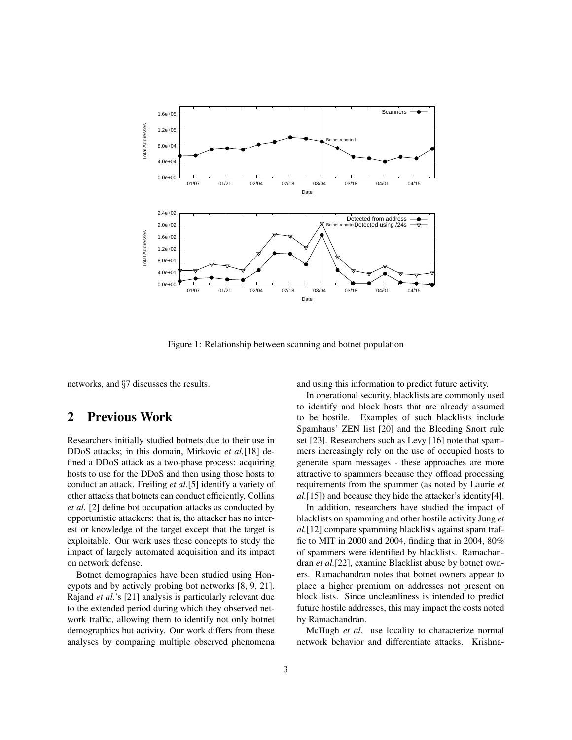

Figure 1: Relationship between scanning and botnet population

networks, and §7 discusses the results.

## 2 Previous Work

Researchers initially studied botnets due to their use in DDoS attacks; in this domain, Mirkovic *et al.*[18] defined a DDoS attack as a two-phase process: acquiring hosts to use for the DDoS and then using those hosts to conduct an attack. Freiling *et al.*[5] identify a variety of other attacks that botnets can conduct efficiently, Collins *et al.* [2] define bot occupation attacks as conducted by opportunistic attackers: that is, the attacker has no interest or knowledge of the target except that the target is exploitable. Our work uses these concepts to study the impact of largely automated acquisition and its impact on network defense.

Botnet demographics have been studied using Honeypots and by actively probing bot networks [8, 9, 21]. Rajand *et al.*'s [21] analysis is particularly relevant due to the extended period during which they observed network traffic, allowing them to identify not only botnet demographics but activity. Our work differs from these analyses by comparing multiple observed phenomena and using this information to predict future activity.

In operational security, blacklists are commonly used to identify and block hosts that are already assumed to be hostile. Examples of such blacklists include Spamhaus' ZEN list [20] and the Bleeding Snort rule set [23]. Researchers such as Levy [16] note that spammers increasingly rely on the use of occupied hosts to generate spam messages - these approaches are more attractive to spammers because they offload processing requirements from the spammer (as noted by Laurie *et al.*[15]) and because they hide the attacker's identity[4].

In addition, researchers have studied the impact of blacklists on spamming and other hostile activity Jung *et al.*[12] compare spamming blacklists against spam traffic to MIT in 2000 and 2004, finding that in 2004, 80% of spammers were identified by blacklists. Ramachandran *et al.*[22], examine Blacklist abuse by botnet owners. Ramachandran notes that botnet owners appear to place a higher premium on addresses not present on block lists. Since uncleanliness is intended to predict future hostile addresses, this may impact the costs noted by Ramachandran.

McHugh *et al.* use locality to characterize normal network behavior and differentiate attacks. Krishna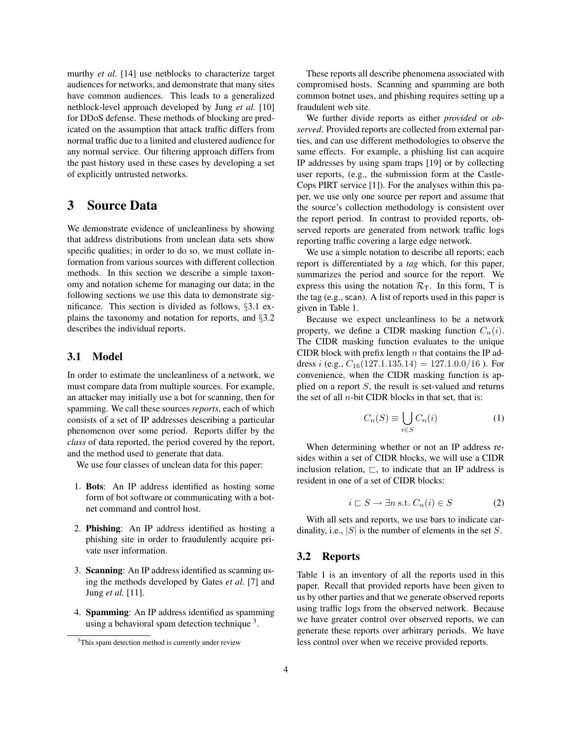murthy *et al.* [14] use netblocks to characterize target audiences for networks, and demonstrate that many sites have common audiences. This leads to a generalized netblock-level approach developed by Jung *et al.* [10] for DDoS defense. These methods of blocking are predicated on the assumption that attack traffic differs from normal traffic due to a limited and clustered audience for any normal service. Our filtering approach differs from the past history used in these cases by developing a set of explicitly untrusted networks.

# 3 Source Data

We demonstrate evidence of uncleanliness by showing that address distributions from unclean data sets show specific qualities; in order to do so, we must collate information from various sources with different collection methods. In this section we describe a simple taxonomy and notation scheme for managing our data; in the following sections we use this data to demonstrate significance. This section is divided as follows, §3.1 explains the taxonomy and notation for reports, and §3.2 describes the individual reports.

## 3.1 Model

In order to estimate the uncleanliness of a network, we must compare data from multiple sources. For example, an attacker may initially use a bot for scanning, then for spamming. We call these sources *reports*, each of which consists of a set of IP addresses describing a particular phenomenon over some period. Reports differ by the *class* of data reported, the period covered by the report, and the method used to generate that data.

We use four classes of unclean data for this paper:

- 1. Bots: An IP address identified as hosting some form of bot software or communicating with a botnet command and control host.
- 2. Phishing: An IP address identified as hosting a phishing site in order to fraudulently acquire private user information.
- 3. Scanning: An IP address identified as scanning using the methods developed by Gates *et al.* [7] and Jung *et al.* [11].
- 4. Spamming: An IP address identified as spamming using a behavioral spam detection technique<sup>3</sup>.

These reports all describe phenomena associated with compromised hosts. Scanning and spamming are both common botnet uses, and phishing requires setting up a fraudulent web site.

We further divide reports as either *provided* or *observed*. Provided reports are collected from external parties, and can use different methodologies to observe the same effects. For example, a phishing list can acquire IP addresses by using spam traps [19] or by collecting user reports, (e.g., the submission form at the Castle-Cops PIRT service [1]). For the analyses within this paper, we use only one source per report and assume that the source's collection methodology is consistent over the report period. In contrast to provided reports, observed reports are generated from network traffic logs reporting traffic covering a large edge network.

We use a simple notation to describe all reports; each report is differentiated by a *tag* which, for this paper, summarizes the period and source for the report. We express this using the notation  $\mathcal{R}_{\mathsf{T}}$ . In this form, T is the tag (e.g., scan). A list of reports used in this paper is given in Table 1.

Because we expect uncleanliness to be a network property, we define a CIDR masking function  $C_n(i)$ . The CIDR masking function evaluates to the unique CIDR block with prefix length  $n$  that contains the IP address *i* (e.g.,  $C_{16}(127.1.135.14) = 127.1.0.0/16$ ). For convenience, when the CIDR masking function is applied on a report  $S$ , the result is set-valued and returns the set of all  $n$ -bit CIDR blocks in that set, that is:

$$
C_n(S) \equiv \bigcup_{i \in S} C_n(i) \tag{1}
$$

When determining whether or not an IP address resides within a set of CIDR blocks, we will use a CIDR inclusion relation,  $\Box$ , to indicate that an IP address is resident in one of a set of CIDR blocks:

$$
i \sqsubset S \to \exists n \text{ s.t. } C_n(i) \in S \tag{2}
$$

With all sets and reports, we use bars to indicate cardinality, i.e.,  $|S|$  is the number of elements in the set S.

#### 3.2 Reports

Table 1 is an inventory of all the reports used in this paper. Recall that provided reports have been given to us by other parties and that we generate observed reports using traffic logs from the observed network. Because we have greater control over observed reports, we can generate these reports over arbitrary periods. We have less control over when we receive provided reports.

<sup>&</sup>lt;sup>3</sup>This spam detection method is currently under review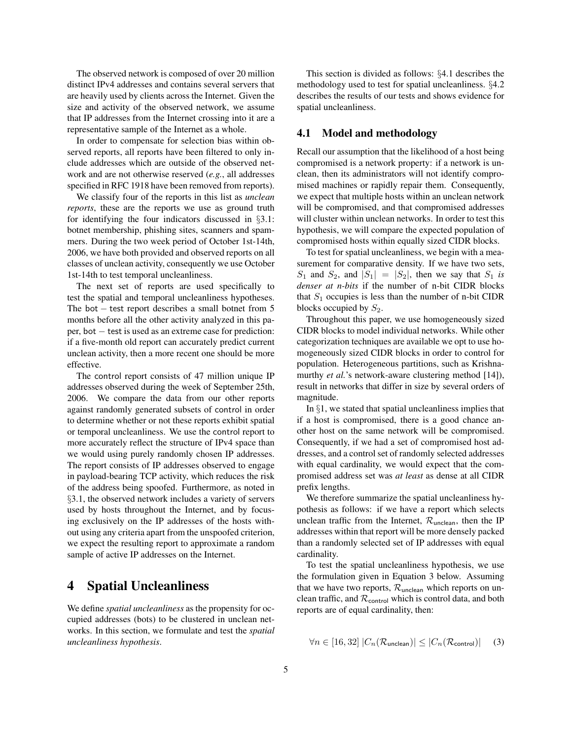The observed network is composed of over 20 million distinct IPv4 addresses and contains several servers that are heavily used by clients across the Internet. Given the size and activity of the observed network, we assume that IP addresses from the Internet crossing into it are a representative sample of the Internet as a whole.

In order to compensate for selection bias within observed reports, all reports have been filtered to only include addresses which are outside of the observed network and are not otherwise reserved (*e.g.*, all addresses specified in RFC 1918 have been removed from reports).

We classify four of the reports in this list as *unclean reports*, these are the reports we use as ground truth for identifying the four indicators discussed in §3.1: botnet membership, phishing sites, scanners and spammers. During the two week period of October 1st-14th, 2006, we have both provided and observed reports on all classes of unclean activity, consequently we use October 1st-14th to test temporal uncleanliness.

The next set of reports are used specifically to test the spatial and temporal uncleanliness hypotheses. The bot − test report describes a small botnet from 5 months before all the other activity analyzed in this paper, bot − test is used as an extreme case for prediction: if a five-month old report can accurately predict current unclean activity, then a more recent one should be more effective.

The control report consists of 47 million unique IP addresses observed during the week of September 25th, 2006. We compare the data from our other reports against randomly generated subsets of control in order to determine whether or not these reports exhibit spatial or temporal uncleanliness. We use the control report to more accurately reflect the structure of IPv4 space than we would using purely randomly chosen IP addresses. The report consists of IP addresses observed to engage in payload-bearing TCP activity, which reduces the risk of the address being spoofed. Furthermore, as noted in §3.1, the observed network includes a variety of servers used by hosts throughout the Internet, and by focusing exclusively on the IP addresses of the hosts without using any criteria apart from the unspoofed criterion, we expect the resulting report to approximate a random sample of active IP addresses on the Internet.

# 4 Spatial Uncleanliness

We define *spatial uncleanliness* as the propensity for occupied addresses (bots) to be clustered in unclean networks. In this section, we formulate and test the *spatial uncleanliness hypothesis*.

This section is divided as follows: §4.1 describes the methodology used to test for spatial uncleanliness. §4.2 describes the results of our tests and shows evidence for spatial uncleanliness.

## 4.1 Model and methodology

Recall our assumption that the likelihood of a host being compromised is a network property: if a network is unclean, then its administrators will not identify compromised machines or rapidly repair them. Consequently, we expect that multiple hosts within an unclean network will be compromised, and that compromised addresses will cluster within unclean networks. In order to test this hypothesis, we will compare the expected population of compromised hosts within equally sized CIDR blocks.

To test for spatial uncleanliness, we begin with a measurement for comparative density. If we have two sets,  $S_1$  and  $S_2$ , and  $|S_1| = |S_2|$ , then we say that  $S_1$  *is denser at n-bits* if the number of n-bit CIDR blocks that  $S_1$  occupies is less than the number of n-bit CIDR blocks occupied by  $S_2$ .

Throughout this paper, we use homogeneously sized CIDR blocks to model individual networks. While other categorization techniques are available we opt to use homogeneously sized CIDR blocks in order to control for population. Heterogeneous partitions, such as Krishnamurthy *et al.*'s network-aware clustering method [14]), result in networks that differ in size by several orders of magnitude.

In  $\S1$ , we stated that spatial uncleanliness implies that if a host is compromised, there is a good chance another host on the same network will be compromised. Consequently, if we had a set of compromised host addresses, and a control set of randomly selected addresses with equal cardinality, we would expect that the compromised address set was *at least* as dense at all CIDR prefix lengths.

We therefore summarize the spatial uncleanliness hypothesis as follows: if we have a report which selects unclean traffic from the Internet,  $\mathcal{R}_{\text{unclean}}$ , then the IP addresses within that report will be more densely packed than a randomly selected set of IP addresses with equal cardinality.

To test the spatial uncleanliness hypothesis, we use the formulation given in Equation 3 below. Assuming that we have two reports,  $\mathcal{R}_{\text{unclean}}$  which reports on unclean traffic, and  $\mathcal{R}_{control}$  which is control data, and both reports are of equal cardinality, then:

$$
\forall n \in [16, 32] \left| C_n(\mathcal{R}_{\text{unclean}}) \right| \leq \left| C_n(\mathcal{R}_{\text{control}}) \right| \tag{3}
$$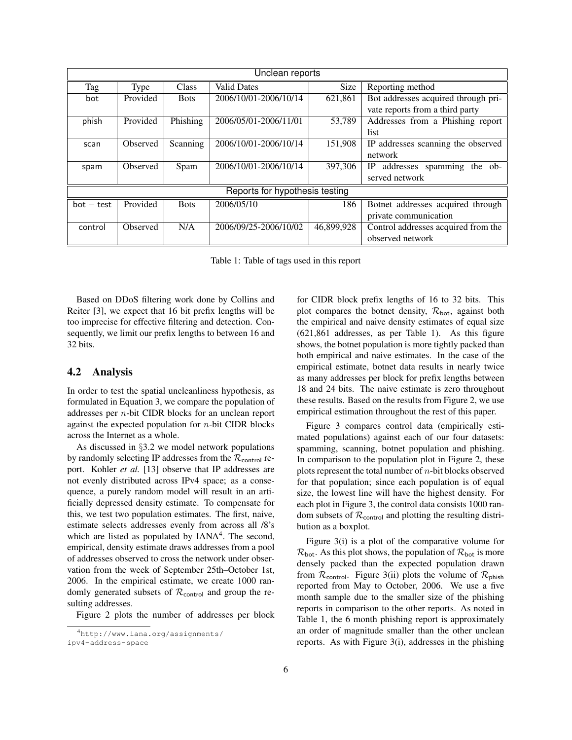| Unclean reports                |                 |             |                       |             |                                      |  |  |  |
|--------------------------------|-----------------|-------------|-----------------------|-------------|--------------------------------------|--|--|--|
| Tag                            | Type            | Class       | <b>Valid Dates</b>    | <b>Size</b> | Reporting method                     |  |  |  |
| bot                            | Provided        | <b>Bots</b> | 2006/10/01-2006/10/14 | 621,861     | Bot addresses acquired through pri-  |  |  |  |
|                                |                 |             |                       |             | vate reports from a third party      |  |  |  |
| phish                          | Provided        | Phishing    | 2006/05/01-2006/11/01 | 53,789      | Addresses from a Phishing report     |  |  |  |
|                                |                 |             |                       |             | list                                 |  |  |  |
| scan                           | Observed        | Scanning    | 2006/10/01-2006/10/14 | 151,908     | IP addresses scanning the observed   |  |  |  |
|                                |                 |             |                       |             | network                              |  |  |  |
| spam                           | Observed        | Spam        | 2006/10/01-2006/10/14 | 397,306     | addresses spamming<br>IP.<br>the ob- |  |  |  |
|                                |                 |             |                       |             | served network                       |  |  |  |
| Reports for hypothesis testing |                 |             |                       |             |                                      |  |  |  |
| $bot - test$                   | Provided        | <b>Bots</b> | 2006/05/10            | 186         | Botnet addresses acquired through    |  |  |  |
|                                |                 |             |                       |             | private communication                |  |  |  |
| control                        | <b>Observed</b> | N/A         | 2006/09/25-2006/10/02 | 46,899,928  | Control addresses acquired from the  |  |  |  |
|                                |                 |             |                       |             | observed network                     |  |  |  |

Table 1: Table of tags used in this report

Based on DDoS filtering work done by Collins and Reiter [3], we expect that 16 bit prefix lengths will be too imprecise for effective filtering and detection. Consequently, we limit our prefix lengths to between 16 and 32 bits.

### 4.2 Analysis

In order to test the spatial uncleanliness hypothesis, as formulated in Equation 3, we compare the population of addresses per n-bit CIDR blocks for an unclean report against the expected population for  $n$ -bit CIDR blocks across the Internet as a whole.

As discussed in §3.2 we model network populations by randomly selecting IP addresses from the  $\mathcal{R}_{control}$  report. Kohler *et al.* [13] observe that IP addresses are not evenly distributed across IPv4 space; as a consequence, a purely random model will result in an artificially depressed density estimate. To compensate for this, we test two population estimates. The first, naive, estimate selects addresses evenly from across all /8's which are listed as populated by IANA<sup>4</sup>. The second, empirical, density estimate draws addresses from a pool of addresses observed to cross the network under observation from the week of September 25th–October 1st, 2006. In the empirical estimate, we create 1000 randomly generated subsets of  $\mathcal{R}_{control}$  and group the resulting addresses.

Figure 2 plots the number of addresses per block

for CIDR block prefix lengths of 16 to 32 bits. This

Figure 3 compares control data (empirically estimated populations) against each of our four datasets: spamming, scanning, botnet population and phishing. In comparison to the population plot in Figure 2, these plots represent the total number of  $n$ -bit blocks observed for that population; since each population is of equal size, the lowest line will have the highest density. For each plot in Figure 3, the control data consists 1000 random subsets of  $\mathcal{R}_{control}$  and plotting the resulting distribution as a boxplot.

Figure 3(i) is a plot of the comparative volume for  $\mathcal{R}_{\text{bot}}$ . As this plot shows, the population of  $\mathcal{R}_{\text{bot}}$  is more densely packed than the expected population drawn from  $\mathcal{R}_{control}$ . Figure 3(ii) plots the volume of  $\mathcal{R}_{\text{phish}}$ reported from May to October, 2006. We use a five month sample due to the smaller size of the phishing reports in comparison to the other reports. As noted in Table 1, the 6 month phishing report is approximately an order of magnitude smaller than the other unclean reports. As with Figure 3(i), addresses in the phishing

<sup>4</sup>http://www.iana.org/assignments/ ipv4-address-space

plot compares the botnet density,  $\mathcal{R}_{\text{bot}}$ , against both the empirical and naive density estimates of equal size (621,861 addresses, as per Table 1). As this figure shows, the botnet population is more tightly packed than both empirical and naive estimates. In the case of the empirical estimate, botnet data results in nearly twice as many addresses per block for prefix lengths between 18 and 24 bits. The naive estimate is zero throughout these results. Based on the results from Figure 2, we use empirical estimation throughout the rest of this paper.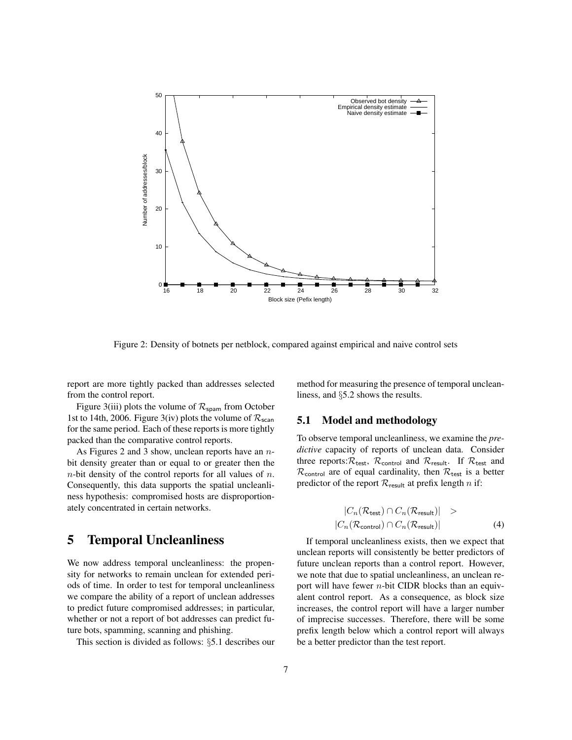

Figure 2: Density of botnets per netblock, compared against empirical and naive control sets

report are more tightly packed than addresses selected from the control report.

Figure 3(iii) plots the volume of  $\mathcal{R}_{\text{spam}}$  from October 1st to 14th, 2006. Figure 3(iv) plots the volume of  $\mathcal{R}_{\text{scan}}$ for the same period. Each of these reports is more tightly packed than the comparative control reports.

As Figures 2 and 3 show, unclean reports have an  $n$ bit density greater than or equal to or greater then the  $n$ -bit density of the control reports for all values of  $n$ . Consequently, this data supports the spatial uncleanliness hypothesis: compromised hosts are disproportionately concentrated in certain networks.

# 5 Temporal Uncleanliness

We now address temporal uncleanliness: the propensity for networks to remain unclean for extended periods of time. In order to test for temporal uncleanliness we compare the ability of a report of unclean addresses to predict future compromised addresses; in particular, whether or not a report of bot addresses can predict future bots, spamming, scanning and phishing.

This section is divided as follows: §5.1 describes our

method for measuring the presence of temporal uncleanliness, and §5.2 shows the results.

### 5.1 Model and methodology

To observe temporal uncleanliness, we examine the *predictive* capacity of reports of unclean data. Consider three reports:  $\mathcal{R}_{\text{test}}$ ,  $\mathcal{R}_{\text{control}}$  and  $\mathcal{R}_{\text{result}}$ . If  $\mathcal{R}_{\text{test}}$  and  $\mathcal{R}_{control}$  are of equal cardinality, then  $\mathcal{R}_{test}$  is a better predictor of the report  $\mathcal{R}_{\text{result}}$  at prefix length n if:

$$
|C_n(\mathcal{R}_{\text{test}}) \cap C_n(\mathcal{R}_{\text{result}})| >|C_n(\mathcal{R}_{\text{control}}) \cap C_n(\mathcal{R}_{\text{result}})|
$$
 (4)

If temporal uncleanliness exists, then we expect that unclean reports will consistently be better predictors of future unclean reports than a control report. However, we note that due to spatial uncleanliness, an unclean report will have fewer  $n$ -bit CIDR blocks than an equivalent control report. As a consequence, as block size increases, the control report will have a larger number of imprecise successes. Therefore, there will be some prefix length below which a control report will always be a better predictor than the test report.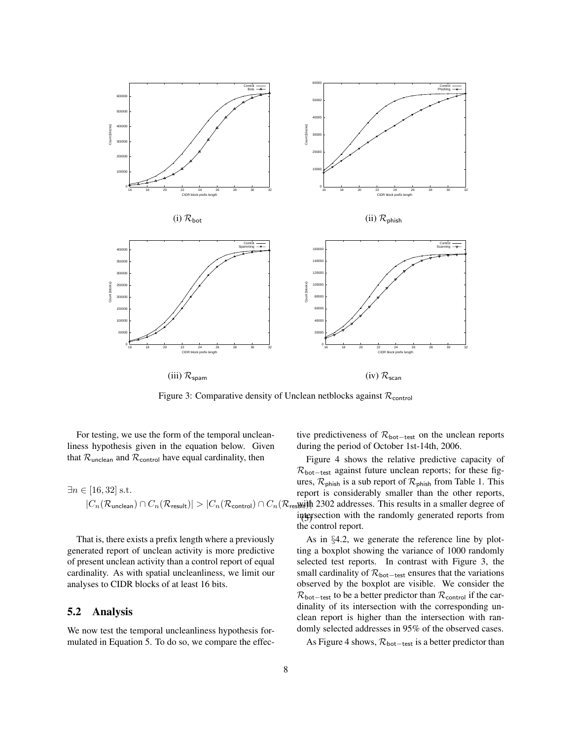

Figure 3: Comparative density of Unclean netblocks against  $\mathcal{R}_{control}$ 

For testing, we use the form of the temporal uncleanliness hypothesis given in the equation below. Given that  $\mathcal{R}_{\text{unclean}}$  and  $\mathcal{R}_{\text{control}}$  have equal cardinality, then

$$
\exists n \in [16, 32] \text{ s.t.}
$$
\n
$$
|C_n(\mathcal{R}_{\text{unclean}}) \cap C_n(\mathcal{R}_{\text{result}})| > |C_n(\mathcal{R}_{\text{control}}) \cap C_n(\mathcal{R}_{\text{resWil}})|
$$

That is, there exists a prefix length where a previously generated report of unclean activity is more predictive of present unclean activity than a control report of equal cardinality. As with spatial uncleanliness, we limit our analyses to CIDR blocks of at least 16 bits.

### 5.2 Analysis

We now test the temporal uncleanliness hypothesis formulated in Equation 5. To do so, we compare the effective predictiveness of  $\mathcal{R}_{\text{bot-test}}$  on the unclean reports during the period of October 1st-14th, 2006.

intersection with the randomly generated reports from Figure 4 shows the relative predictive capacity of  $\mathcal{R}_{\text{bot-test}}$  against future unclean reports; for these figures,  $\mathcal{R}_{\text{phish}}$  is a sub report of  $\mathcal{R}_{\text{phish}}$  from Table 1. This report is considerably smaller than the other reports, res<sub>Wit</sub>ith 2302 addresses. This results in a smaller degree of the control report.

As in §4.2, we generate the reference line by plotting a boxplot showing the variance of 1000 randomly selected test reports. In contrast with Figure 3, the small cardinality of  $\mathcal{R}_{\text{bot-test}}$  ensures that the variations observed by the boxplot are visible. We consider the  $\mathcal{R}_{\text{bot-test}}$  to be a better predictor than  $\mathcal{R}_{\text{control}}$  if the cardinality of its intersection with the corresponding unclean report is higher than the intersection with randomly selected addresses in 95% of the observed cases.

As Figure 4 shows,  $\mathcal{R}_{\text{bot-test}}$  is a better predictor than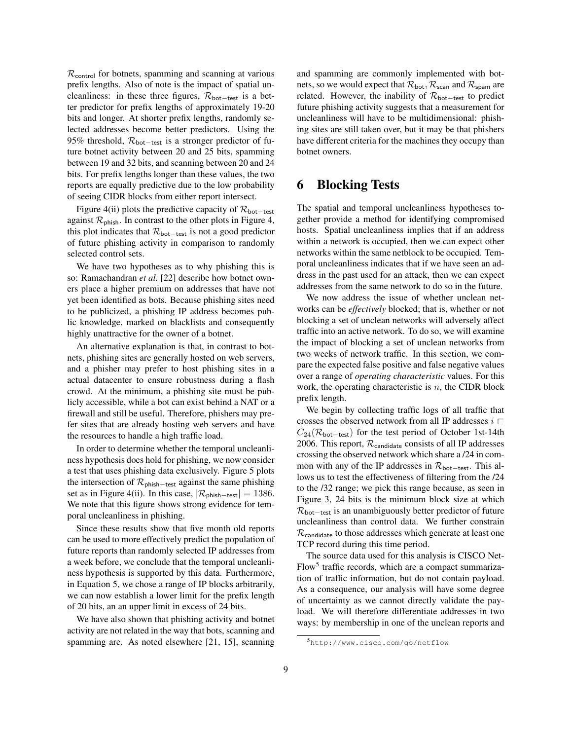$\mathcal{R}_{control}$  for botnets, spamming and scanning at various prefix lengths. Also of note is the impact of spatial uncleanliness: in these three figures,  $\mathcal{R}_{\text{bot-test}}$  is a better predictor for prefix lengths of approximately 19-20 bits and longer. At shorter prefix lengths, randomly selected addresses become better predictors. Using the 95% threshold,  $\mathcal{R}_{\text{bot-test}}$  is a stronger predictor of future botnet activity between 20 and 25 bits, spamming between 19 and 32 bits, and scanning between 20 and 24 bits. For prefix lengths longer than these values, the two reports are equally predictive due to the low probability of seeing CIDR blocks from either report intersect.

Figure 4(ii) plots the predictive capacity of  $\mathcal{R}_{\text{bot-test}}$ against  $\mathcal{R}_{\text{phish}}$ . In contrast to the other plots in Figure 4, this plot indicates that  $\mathcal{R}_{\text{bot-test}}$  is not a good predictor of future phishing activity in comparison to randomly selected control sets.

We have two hypotheses as to why phishing this is so: Ramachandran *et al.* [22] describe how botnet owners place a higher premium on addresses that have not yet been identified as bots. Because phishing sites need to be publicized, a phishing IP address becomes public knowledge, marked on blacklists and consequently highly unattractive for the owner of a botnet.

An alternative explanation is that, in contrast to botnets, phishing sites are generally hosted on web servers, and a phisher may prefer to host phishing sites in a actual datacenter to ensure robustness during a flash crowd. At the minimum, a phishing site must be publicly accessible, while a bot can exist behind a NAT or a firewall and still be useful. Therefore, phishers may prefer sites that are already hosting web servers and have the resources to handle a high traffic load.

In order to determine whether the temporal uncleanliness hypothesis does hold for phishing, we now consider a test that uses phishing data exclusively. Figure 5 plots the intersection of  $\mathcal{R}_{\text{phish-test}}$  against the same phishing set as in Figure 4(ii). In this case,  $|\mathcal{R}_{\text{phish-test}}| = 1386$ . We note that this figure shows strong evidence for temporal uncleanliness in phishing.

Since these results show that five month old reports can be used to more effectively predict the population of future reports than randomly selected IP addresses from a week before, we conclude that the temporal uncleanliness hypothesis is supported by this data. Furthermore, in Equation 5, we chose a range of IP blocks arbitrarily, we can now establish a lower limit for the prefix length of 20 bits, an an upper limit in excess of 24 bits.

We have also shown that phishing activity and botnet activity are not related in the way that bots, scanning and spamming are. As noted elsewhere [21, 15], scanning

and spamming are commonly implemented with botnets, so we would expect that  $\mathcal{R}_{\text{bot}}$ ,  $\mathcal{R}_{\text{scan}}$  and  $\mathcal{R}_{\text{spam}}$  are related. However, the inability of  $\mathcal{R}_{\text{bot-test}}$  to predict future phishing activity suggests that a measurement for uncleanliness will have to be multidimensional: phishing sites are still taken over, but it may be that phishers have different criteria for the machines they occupy than botnet owners.

# 6 Blocking Tests

The spatial and temporal uncleanliness hypotheses together provide a method for identifying compromised hosts. Spatial uncleanliness implies that if an address within a network is occupied, then we can expect other networks within the same netblock to be occupied. Temporal uncleanliness indicates that if we have seen an address in the past used for an attack, then we can expect addresses from the same network to do so in the future.

We now address the issue of whether unclean networks can be *effectively* blocked; that is, whether or not blocking a set of unclean networks will adversely affect traffic into an active network. To do so, we will examine the impact of blocking a set of unclean networks from two weeks of network traffic. In this section, we compare the expected false positive and false negative values over a range of *operating characteristic* values. For this work, the operating characteristic is  $n$ , the CIDR block prefix length.

We begin by collecting traffic logs of all traffic that crosses the observed network from all IP addresses  $i \sqsubset$  $C_{24}(\mathcal{R}_{\text{bot-test}})$  for the test period of October 1st-14th 2006. This report,  $\mathcal{R}_{\text{candidate}}$  consists of all IP addresses crossing the observed network which share a /24 in common with any of the IP addresses in  $\mathcal{R}_{\text{bot-test}}$ . This allows us to test the effectiveness of filtering from the /24 to the /32 range; we pick this range because, as seen in Figure 3, 24 bits is the minimum block size at which  $\mathcal{R}_{\text{bot-test}}$  is an unambiguously better predictor of future uncleanliness than control data. We further constrain  $\mathcal{R}_{\text{candidate}}$  to those addresses which generate at least one TCP record during this time period.

The source data used for this analysis is CISCO Net-Flow<sup>5</sup> traffic records, which are a compact summarization of traffic information, but do not contain payload. As a consequence, our analysis will have some degree of uncertainty as we cannot directly validate the payload. We will therefore differentiate addresses in two ways: by membership in one of the unclean reports and

<sup>5</sup>http://www.cisco.com/go/netflow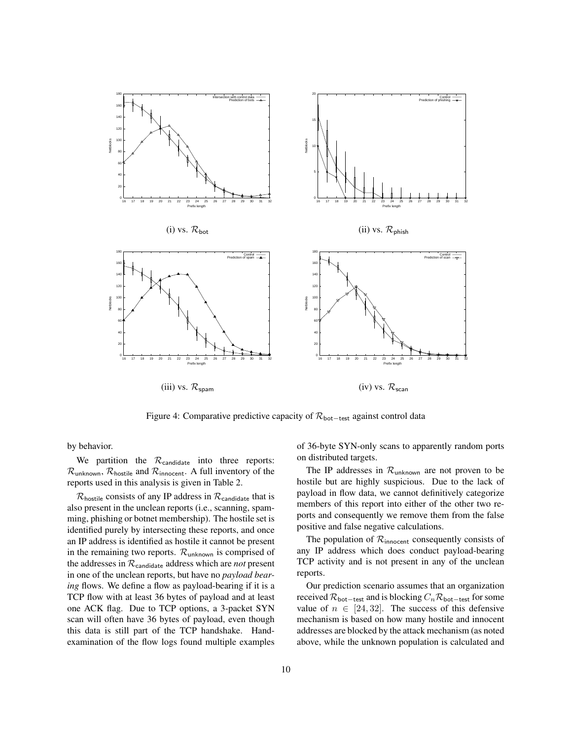

Figure 4: Comparative predictive capacity of  $\mathcal{R}_{\text{bot-test}}$  against control data

by behavior.

We partition the  $\mathcal{R}_{\text{candidate}}$  into three reports:  $\mathcal{R}_{\text{unknown}}$ ,  $\mathcal{R}_{\text{hostile}}$  and  $\mathcal{R}_{\text{innocent}}$ . A full inventory of the reports used in this analysis is given in Table 2.

 $\mathcal{R}_{\text{hostile}}$  consists of any IP address in  $\mathcal{R}_{\text{candidate}}$  that is also present in the unclean reports (i.e., scanning, spamming, phishing or botnet membership). The hostile set is identified purely by intersecting these reports, and once an IP address is identified as hostile it cannot be present in the remaining two reports.  $\mathcal{R}_{unknown}$  is comprised of the addresses in Rcandidate address which are *not* present in one of the unclean reports, but have no *payload bearing* flows. We define a flow as payload-bearing if it is a TCP flow with at least 36 bytes of payload and at least one ACK flag. Due to TCP options, a 3-packet SYN scan will often have 36 bytes of payload, even though this data is still part of the TCP handshake. Handexamination of the flow logs found multiple examples

of 36-byte SYN-only scans to apparently random ports on distributed targets.

The IP addresses in  $\mathcal{R}_{unknown}$  are not proven to be hostile but are highly suspicious. Due to the lack of payload in flow data, we cannot definitively categorize members of this report into either of the other two reports and consequently we remove them from the false positive and false negative calculations.

The population of  $\mathcal{R}_{\text{innocent}}$  consequently consists of any IP address which does conduct payload-bearing TCP activity and is not present in any of the unclean reports.

Our prediction scenario assumes that an organization received  $\mathcal{R}_{\text{bot-test}}$  and is blocking  $C_n\mathcal{R}_{\text{bot-test}}$  for some value of  $n \in [24, 32]$ . The success of this defensive mechanism is based on how many hostile and innocent addresses are blocked by the attack mechanism (as noted above, while the unknown population is calculated and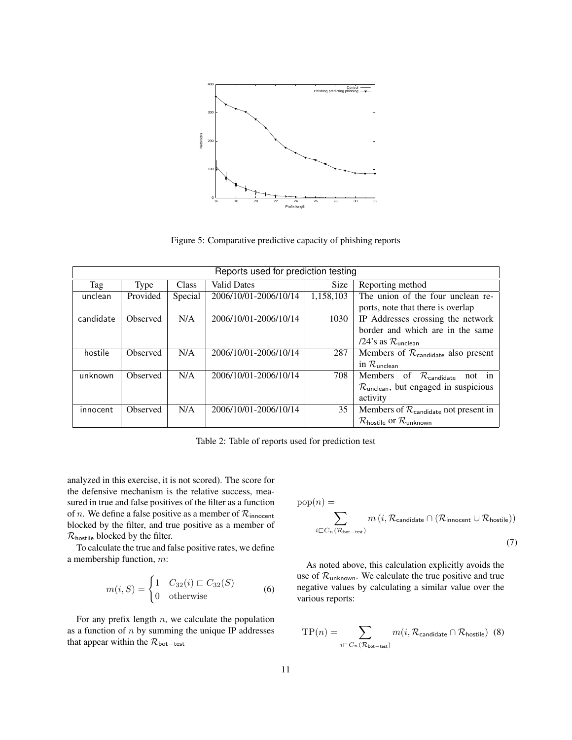

Figure 5: Comparative predictive capacity of phishing reports

| Reports used for prediction testing |          |              |                       |             |                                                                  |  |  |  |
|-------------------------------------|----------|--------------|-----------------------|-------------|------------------------------------------------------------------|--|--|--|
| Tag                                 | Type     | <b>Class</b> | <b>Valid Dates</b>    | <b>Size</b> | Reporting method                                                 |  |  |  |
| unclean                             | Provided | Special      | 2006/10/01-2006/10/14 | 1,158,103   | The union of the four unclean re-                                |  |  |  |
|                                     |          |              |                       |             | ports, note that there is overlap                                |  |  |  |
| candidate                           | Observed | N/A          | 2006/10/01-2006/10/14 | 1030        | IP Addresses crossing the network                                |  |  |  |
|                                     |          |              |                       |             | border and which are in the same                                 |  |  |  |
|                                     |          |              |                       |             | /24's as $\mathcal{R}_{\text{unclean}}$                          |  |  |  |
| hostile                             | Observed | N/A          | 2006/10/01-2006/10/14 | 287         | Members of $\mathcal{R}_{\text{candidate}}$ also present         |  |  |  |
|                                     |          |              |                       |             | in $\mathcal{R}_{\mathsf{unclean}}$                              |  |  |  |
| unknown                             | Observed | N/A          | 2006/10/01-2006/10/14 | 708         | Members of $\mathcal{R}_{\text{candidate}}$<br>not in            |  |  |  |
|                                     |          |              |                       |             | $\mathcal{R}_{\text{unclean}}$ , but engaged in suspicious       |  |  |  |
|                                     |          |              |                       |             | activity                                                         |  |  |  |
| innocent                            | Observed | N/A          | 2006/10/01-2006/10/14 | 35          | Members of $\mathcal{R}_{\text{candidate}}$ not present in       |  |  |  |
|                                     |          |              |                       |             | $\mathcal{R}_{\text{hostile}}$ or $\mathcal{R}_{\text{unknown}}$ |  |  |  |

Table 2: Table of reports used for prediction test

analyzed in this exercise, it is not scored). The score for the defensive mechanism is the relative success, measured in true and false positives of the filter as a function of *n*. We define a false positive as a member of  $\mathcal{R}_{\text{innocent}}$ blocked by the filter, and true positive as a member of Rhostile blocked by the filter.

To calculate the true and false positive rates, we define a membership function, m:

$$
m(i, S) = \begin{cases} 1 & C_{32}(i) \sqsubset C_{32}(S) \\ 0 & \text{otherwise} \end{cases}
$$
 (6)

For any prefix length  $n$ , we calculate the population as a function of  $n$  by summing the unique IP addresses that appear within the  $\mathcal{R}_{\text{bot-test}}$ 

$$
pop(n) = \sum_{i \sqsubset C_n(\mathcal{R}_{bot-test})} m(i, \mathcal{R}_{candidate} \cap (\mathcal{R}_{innocent} \cup \mathcal{R}_{hostile}))
$$
\n(7)

As noted above, this calculation explicitly avoids the use of  $\mathcal{R}_{unknown}$ . We calculate the true positive and true negative values by calculating a similar value over the various reports:

$$
TP(n) = \sum_{i \sqsubset C_n(\mathcal{R}_{\text{bot-test}})} m(i, \mathcal{R}_{\text{candidate}} \cap \mathcal{R}_{\text{hostile}})
$$
(8)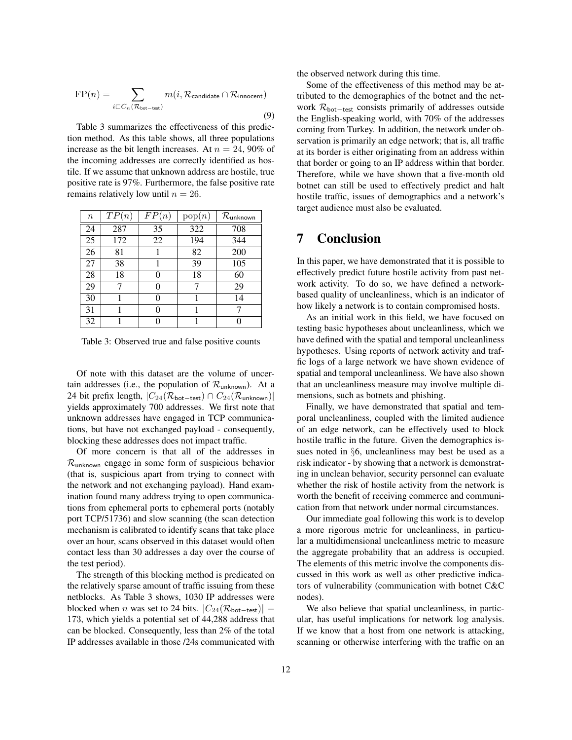$$
FP(n) = \sum_{i \sqsubset C_n(\mathcal{R}_{bot-test})} m(i, \mathcal{R}_{candidate} \cap \mathcal{R}_{innocent})
$$
\n(9)

Table 3 summarizes the effectiveness of this prediction method. As this table shows, all three populations increase as the bit length increases. At  $n = 24,90\%$  of the incoming addresses are correctly identified as hostile. If we assume that unknown address are hostile, true positive rate is 97%. Furthermore, the false positive rate remains relatively low until  $n = 26$ .

| $\boldsymbol{n}$ | TP(n) | FP(n) | pop(n) | $\mathcal{R}_{\mathsf{unknown}}$ |
|------------------|-------|-------|--------|----------------------------------|
| 24               | 287   | 35    | 322    | 708                              |
| 25               | 172   | 22    | 194    | 344                              |
| 26               | 81    |       | 82     | 200                              |
| 27               | 38    | 1     | 39     | 105                              |
| 28               | 18    | 0     | 18     | 60                               |
| 29               | 7     | 0     | 7      | 29                               |
| 30               |       | 0     | 1      | 14                               |
| 31               |       | 0     |        |                                  |
| 32               |       |       |        |                                  |

Table 3: Observed true and false positive counts

Of note with this dataset are the volume of uncertain addresses (i.e., the population of  $\mathcal{R}_{unknown}$ ). At a 24 bit prefix length,  $|C_{24}(\mathcal{R}_{\text{bot-test}}) \cap C_{24}(\mathcal{R}_{\text{unknown}})|$ yields approximately 700 addresses. We first note that unknown addresses have engaged in TCP communications, but have not exchanged payload - consequently, blocking these addresses does not impact traffic.

Of more concern is that all of the addresses in  $\mathcal{R}_{unknown}$  engage in some form of suspicious behavior (that is, suspicious apart from trying to connect with the network and not exchanging payload). Hand examination found many address trying to open communications from ephemeral ports to ephemeral ports (notably port TCP/51736) and slow scanning (the scan detection mechanism is calibrated to identify scans that take place over an hour, scans observed in this dataset would often contact less than 30 addresses a day over the course of the test period).

The strength of this blocking method is predicated on the relatively sparse amount of traffic issuing from these netblocks. As Table 3 shows, 1030 IP addresses were blocked when *n* was set to 24 bits.  $|C_{24}(\mathcal{R}_{\text{bot-test}})|$  = 173, which yields a potential set of 44,288 address that can be blocked. Consequently, less than 2% of the total IP addresses available in those /24s communicated with the observed network during this time.

Some of the effectiveness of this method may be attributed to the demographics of the botnet and the network  $\mathcal{R}_{\text{bot-test}}$  consists primarily of addresses outside the English-speaking world, with 70% of the addresses coming from Turkey. In addition, the network under observation is primarily an edge network; that is, all traffic at its border is either originating from an address within that border or going to an IP address within that border. Therefore, while we have shown that a five-month old botnet can still be used to effectively predict and halt hostile traffic, issues of demographics and a network's target audience must also be evaluated.

## 7 Conclusion

In this paper, we have demonstrated that it is possible to effectively predict future hostile activity from past network activity. To do so, we have defined a networkbased quality of uncleanliness, which is an indicator of how likely a network is to contain compromised hosts.

As an initial work in this field, we have focused on testing basic hypotheses about uncleanliness, which we have defined with the spatial and temporal uncleanliness hypotheses. Using reports of network activity and traffic logs of a large network we have shown evidence of spatial and temporal uncleanliness. We have also shown that an uncleanliness measure may involve multiple dimensions, such as botnets and phishing.

Finally, we have demonstrated that spatial and temporal uncleanliness, coupled with the limited audience of an edge network, can be effectively used to block hostile traffic in the future. Given the demographics issues noted in §6, uncleanliness may best be used as a risk indicator - by showing that a network is demonstrating in unclean behavior, security personnel can evaluate whether the risk of hostile activity from the network is worth the benefit of receiving commerce and communication from that network under normal circumstances.

Our immediate goal following this work is to develop a more rigorous metric for uncleanliness, in particular a multidimensional uncleanliness metric to measure the aggregate probability that an address is occupied. The elements of this metric involve the components discussed in this work as well as other predictive indicators of vulnerability (communication with botnet C&C nodes).

We also believe that spatial uncleanliness, in particular, has useful implications for network log analysis. If we know that a host from one network is attacking, scanning or otherwise interfering with the traffic on an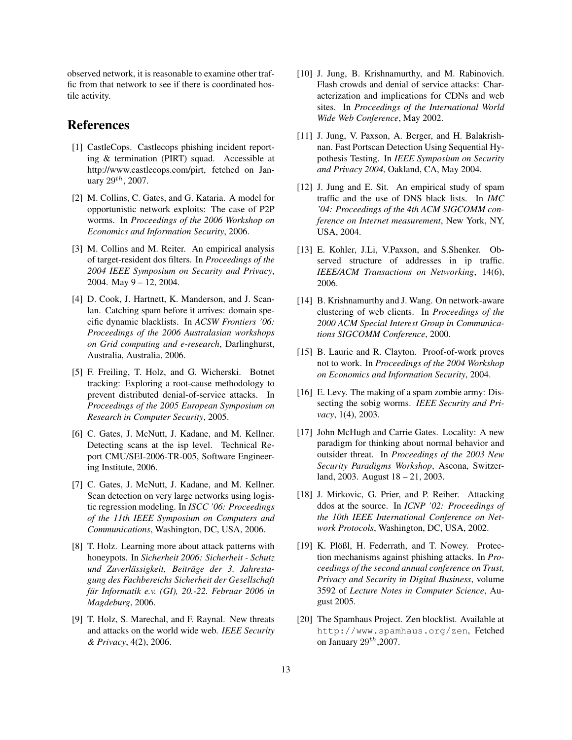observed network, it is reasonable to examine other traffic from that network to see if there is coordinated hostile activity.

## References

- [1] CastleCops. Castlecops phishing incident reporting & termination (PIRT) squad. Accessible at http://www.castlecops.com/pirt, fetched on January  $29^{th}$ , 2007.
- [2] M. Collins, C. Gates, and G. Kataria. A model for opportunistic network exploits: The case of P2P worms. In *Proceedings of the 2006 Workshop on Economics and Information Security*, 2006.
- [3] M. Collins and M. Reiter. An empirical analysis of target-resident dos filters. In *Proceedings of the 2004 IEEE Symposium on Security and Privacy*, 2004. May 9 – 12, 2004.
- [4] D. Cook, J. Hartnett, K. Manderson, and J. Scanlan. Catching spam before it arrives: domain specific dynamic blacklists. In *ACSW Frontiers '06: Proceedings of the 2006 Australasian workshops on Grid computing and e-research*, Darlinghurst, Australia, Australia, 2006.
- [5] F. Freiling, T. Holz, and G. Wicherski. Botnet tracking: Exploring a root-cause methodology to prevent distributed denial-of-service attacks. In *Proceedings of the 2005 European Symposium on Research in Computer Security*, 2005.
- [6] C. Gates, J. McNutt, J. Kadane, and M. Kellner. Detecting scans at the isp level. Technical Report CMU/SEI-2006-TR-005, Software Engineering Institute, 2006.
- [7] C. Gates, J. McNutt, J. Kadane, and M. Kellner. Scan detection on very large networks using logistic regression modeling. In *ISCC '06: Proceedings of the 11th IEEE Symposium on Computers and Communications*, Washington, DC, USA, 2006.
- [8] T. Holz. Learning more about attack patterns with honeypots. In *Sicherheit 2006: Sicherheit - Schutz und Zuverlässigkeit, Beiträge der 3. Jahrestagung des Fachbereichs Sicherheit der Gesellschaft fur Informatik e.v. (GI), 20.-22. Februar 2006 in ¨ Magdeburg*, 2006.
- [9] T. Holz, S. Marechal, and F. Raynal. New threats and attacks on the world wide web. *IEEE Security & Privacy*, 4(2), 2006.
- [10] J. Jung, B. Krishnamurthy, and M. Rabinovich. Flash crowds and denial of service attacks: Characterization and implications for CDNs and web sites. In *Proceedings of the International World Wide Web Conference*, May 2002.
- [11] J. Jung, V. Paxson, A. Berger, and H. Balakrishnan. Fast Portscan Detection Using Sequential Hypothesis Testing. In *IEEE Symposium on Security and Privacy 2004*, Oakland, CA, May 2004.
- [12] J. Jung and E. Sit. An empirical study of spam traffic and the use of DNS black lists. In *IMC '04: Proceedings of the 4th ACM SIGCOMM conference on Internet measurement*, New York, NY, USA, 2004.
- [13] E. Kohler, J.Li, V.Paxson, and S.Shenker. Observed structure of addresses in ip traffic. *IEEE/ACM Transactions on Networking*, 14(6), 2006.
- [14] B. Krishnamurthy and J. Wang. On network-aware clustering of web clients. In *Proceedings of the 2000 ACM Special Interest Group in Communications SIGCOMM Conference*, 2000.
- [15] B. Laurie and R. Clayton. Proof-of-work proves not to work. In *Proceedings of the 2004 Workshop on Economics and Information Security*, 2004.
- [16] E. Levy. The making of a spam zombie army: Dissecting the sobig worms. *IEEE Security and Privacy*, 1(4), 2003.
- [17] John McHugh and Carrie Gates. Locality: A new paradigm for thinking about normal behavior and outsider threat. In *Proceedings of the 2003 New Security Paradigms Workshop*, Ascona, Switzerland, 2003. August 18 – 21, 2003.
- [18] J. Mirkovic, G. Prier, and P. Reiher. Attacking ddos at the source. In *ICNP '02: Proceedings of the 10th IEEE International Conference on Network Protocols*, Washington, DC, USA, 2002.
- [19] K. Plößl, H. Federrath, and T. Nowey. Protection mechanisms against phishing attacks. In *Proceedings of the second annual conference on Trust, Privacy and Security in Digital Business*, volume 3592 of *Lecture Notes in Computer Science*, August 2005.
- [20] The Spamhaus Project. Zen blocklist. Available at http://www.spamhaus.org/zen, Fetched on January  $29^{th}$ ,2007.